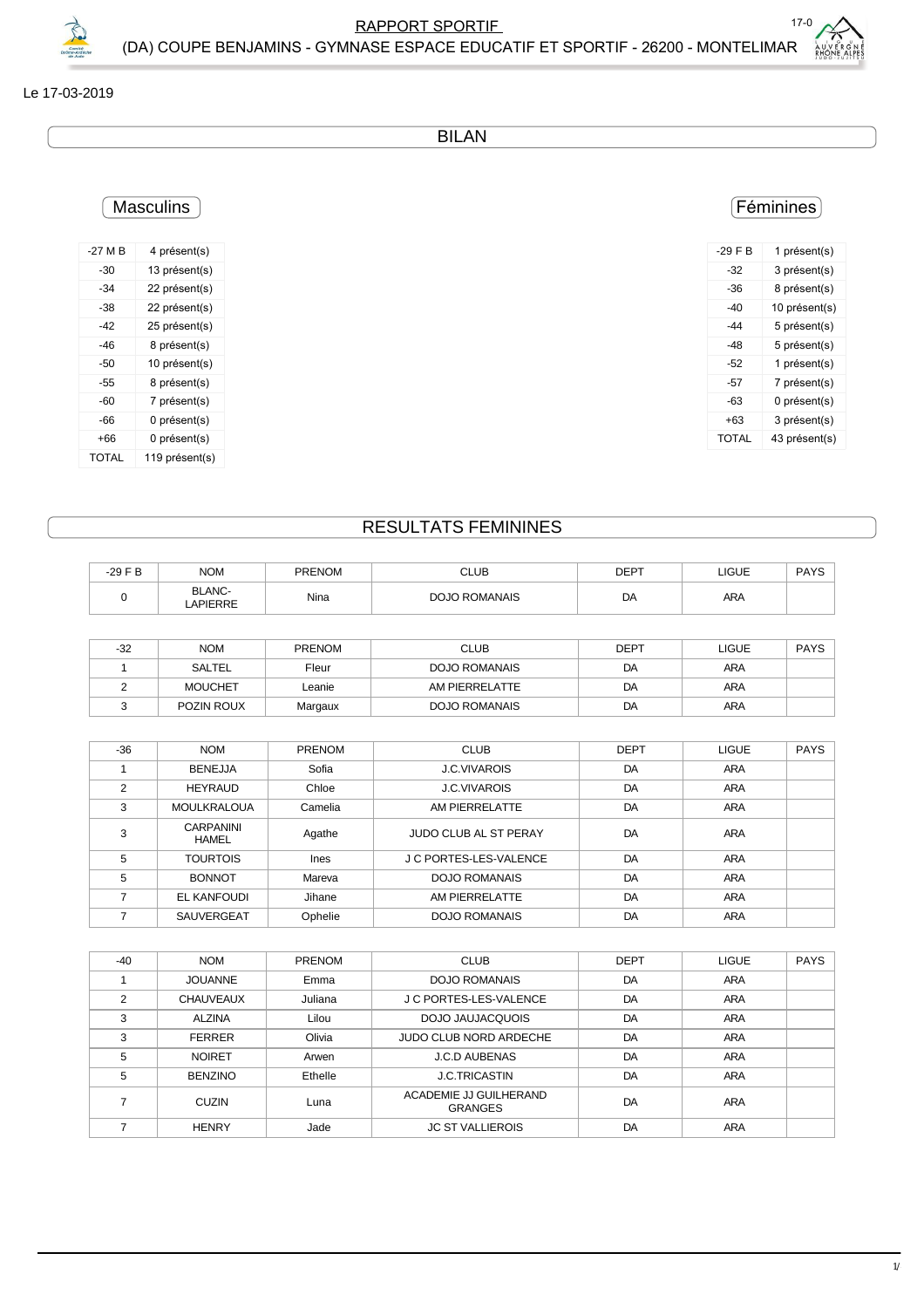

## Le 17-03-2019

BILAN

## **Masculins**

| $-27M$ B | 4 présent(s)   |
|----------|----------------|
| -30      | 13 présent(s)  |
| -34      | 22 présent(s)  |
| -38      | 22 présent(s)  |
| -42      | 25 présent(s)  |
| -46      | 8 présent(s)   |
| -50      | 10 présent(s)  |
| -55      | 8 présent(s)   |
| -60      | 7 présent(s)   |
| -66      | 0 présent(s)   |
| +66      | 0 présent(s)   |
| TOTAI    | 119 présent(s) |

## Féminines

| $-29$ F B | 1 présent(s)  |
|-----------|---------------|
| $-32$     | 3 présent(s)  |
| -36       | 8 présent(s)  |
| -40       | 10 présent(s) |
| -44       | 5 présent(s)  |
| -48       | 5 présent(s)  |
| -52       | 1 présent(s)  |
| -57       | 7 présent(s)  |
| -63       | 0 présent(s)  |
| +63       | 3 présent(s)  |
| TOTAL     | 43 présent(s) |

## RESULTATS FEMININES

| $-29$ F B | <b>NOM</b>               | <b>PRENOM</b> | <b>CLUB</b>          | <b>DEPT</b> | <b>LIGUE</b> | <b>PAYS</b> |
|-----------|--------------------------|---------------|----------------------|-------------|--------------|-------------|
|           | <b>BLANC-</b><br>APIERRE | Nina          | <b>DOJO ROMANAIS</b> | DA          | <b>ARA</b>   |             |

| $-32$ | <b>NOM</b>     | <b>PRENOM</b> | <b>CLUB</b>          | <b>DEPT</b> | LIGUE | <b>PAYS</b> |
|-------|----------------|---------------|----------------------|-------------|-------|-------------|
|       | SALTEL         | Fleur         | <b>DOJO ROMANAIS</b> | DA          | ARA   |             |
|       | <b>MOUCHET</b> | Leanie        | AM PIERRELATTE       | DA          | ARA   |             |
|       | POZIN ROUX     | Margaux       | <b>DOJO ROMANAIS</b> | DA          | ARA   |             |

| $-36$ | <b>NOM</b>                | PRENOM  | <b>CLUB</b>                  | DEPT | <b>LIGUE</b> | <b>PAYS</b> |
|-------|---------------------------|---------|------------------------------|------|--------------|-------------|
|       | <b>BENEJJA</b>            | Sofia   | <b>J.C.VIVAROIS</b>          | DA   | <b>ARA</b>   |             |
| 2     | <b>HEYRAUD</b>            | Chloe   | <b>J.C.VIVAROIS</b>          | DA   | <b>ARA</b>   |             |
| 3     | <b>MOULKRALOUA</b>        | Camelia | AM PIERRELATTE               | DA   | <b>ARA</b>   |             |
| 3     | CARPANINI<br><b>HAMEL</b> | Agathe  | <b>JUDO CLUB AL ST PERAY</b> | DA   | ARA          |             |
| 5     | <b>TOURTOIS</b>           | Ines    | J C PORTES-LES-VALENCE       | DA   | <b>ARA</b>   |             |
| 5     | <b>BONNOT</b>             | Mareva  | <b>DOJO ROMANAIS</b>         | DA   | <b>ARA</b>   |             |
|       | <b>EL KANFOUDI</b>        | Jihane  | AM PIERRELATTE               | DA   | <b>ARA</b>   |             |
|       | SAUVERGEAT                | Ophelie | <b>DOJO ROMANAIS</b>         | DA   | <b>ARA</b>   |             |

| $-40$ | <b>NOM</b>       | PRENOM  | <b>CLUB</b>                              | <b>DEPT</b> | LIGUE      | <b>PAYS</b> |
|-------|------------------|---------|------------------------------------------|-------------|------------|-------------|
|       | <b>JOUANNE</b>   | Emma    | DOJO ROMANAIS                            | DA          | <b>ARA</b> |             |
| 2     | <b>CHAUVEAUX</b> | Juliana | J C PORTES-LES-VALENCE                   | DA          | <b>ARA</b> |             |
| 3     | <b>ALZINA</b>    | Lilou   | DOJO JAUJACQUOIS                         | DA          | <b>ARA</b> |             |
| 3     | <b>FERRER</b>    | Olivia  | JUDO CLUB NORD ARDECHE                   | DA          | <b>ARA</b> |             |
| 5     | <b>NOIRET</b>    | Arwen   | <b>J.C.D AUBENAS</b>                     | DA          | <b>ARA</b> |             |
| 5     | <b>BENZINO</b>   | Ethelle | <b>J.C.TRICASTIN</b>                     | DA          | <b>ARA</b> |             |
|       | <b>CUZIN</b>     | Luna    | ACADEMIE JJ GUILHERAND<br><b>GRANGES</b> | DA          | <b>ARA</b> |             |
|       | <b>HENRY</b>     | Jade    | <b>JC ST VALLIEROIS</b>                  | DA          | ARA        |             |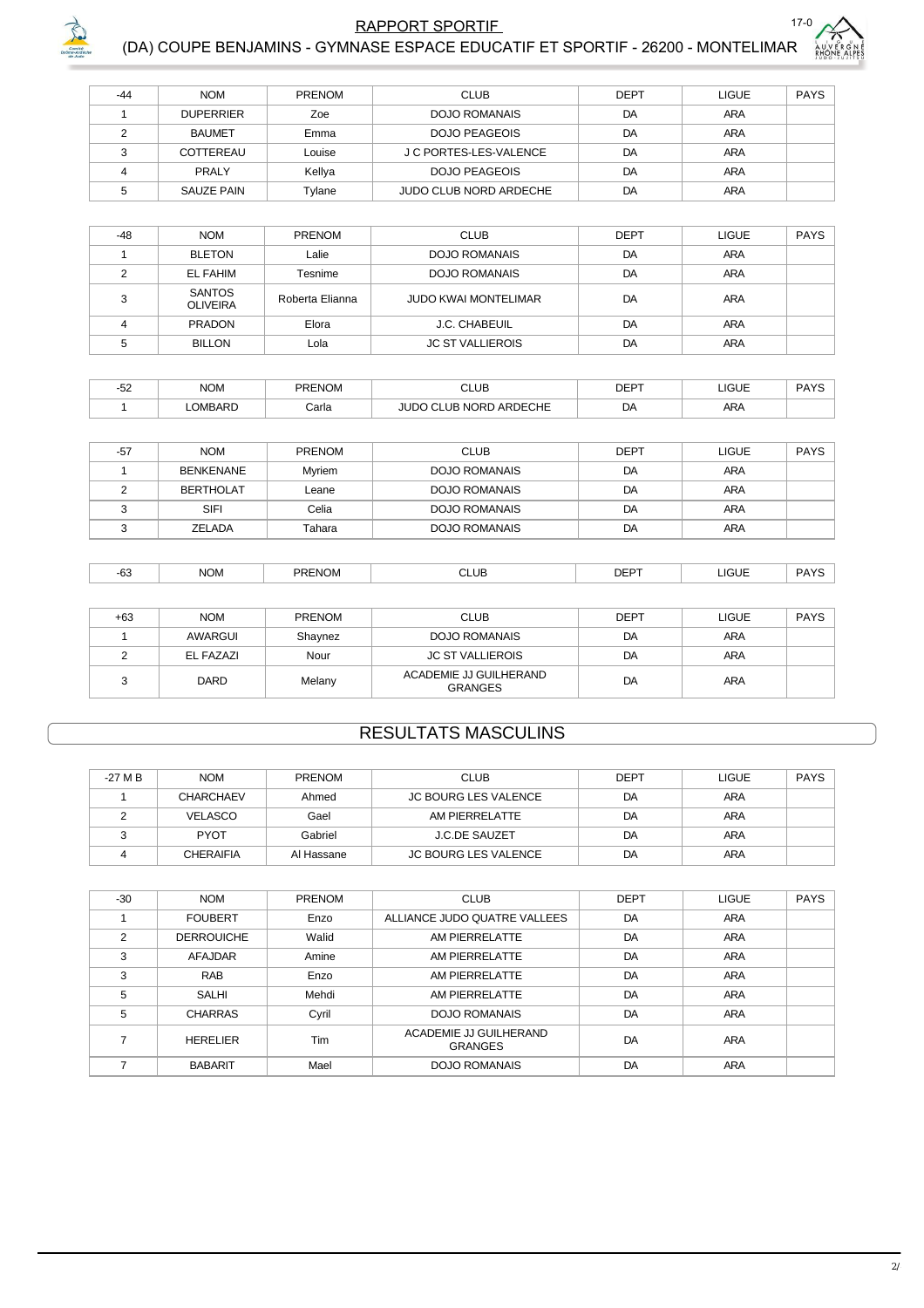

PAYS

ARA

DA



 $\sqrt{5}$ 

SAUZE PAIN

Tylane

#### $-44$ **NOM** PRENOM  $CLUB$ **DEPT** LIGUE  $\overline{1}$ **DUPERRIER**  $Zoe$ **DOJO ROMANAIS**  $\overline{DA}$ **ARA BAUMET DOJO PEAGEOIS ARA**  $\overline{2}$ Emma  $DA$ COTTEREAU J C PORTES-LES-VALENCE **ARA**  $\mathsf 3$ Louise DA **ARA**  $\overline{4}$ PRALY **DOJO PEAGEOIS**  $DA$ Kellya

| $-48$ | <b>NOM</b>                       | <b>PRENOM</b>   | <b>CLUB</b>                 | <b>DEPT</b> | <b>LIGUE</b> | <b>PAYS</b> |
|-------|----------------------------------|-----------------|-----------------------------|-------------|--------------|-------------|
|       | <b>BLETON</b>                    | Lalie           | <b>DOJO ROMANAIS</b>        | DA          | ARA          |             |
|       | <b>EL FAHIM</b>                  | Tesnime         | <b>DOJO ROMANAIS</b>        | DA          | ARA          |             |
| ົ     | <b>SANTOS</b><br><b>OLIVEIRA</b> | Roberta Elianna | <b>JUDO KWAI MONTELIMAR</b> | DA          | ARA          |             |
|       | <b>PRADON</b>                    | Elora           | J.C. CHABEUIL               | DA          | ARA          |             |
|       | <b>BILLON</b>                    | Lola            | <b>JC ST VALLIEROIS</b>     | DA          | ARA          |             |

JUDO CLUB NORD ARDECHE

| $\sim$<br>ےں- | <b>NOM</b>    | <b>PRENOM</b> | <b>CLUB</b>                 | <b>DEPT</b> | LIGUE      | DAVC<br>ט ורז |
|---------------|---------------|---------------|-----------------------------|-------------|------------|---------------|
|               | <b>OMBARD</b> | Carla         | ARDECHE<br>$\sim$ NORP<br>ᄠ | DΑ          | <b>ARA</b> |               |

| $-57$ | <b>NOM</b>       | PRENOM | <b>CLUB</b>          | <b>DEPT</b> | LIGUE      | <b>PAYS</b> |
|-------|------------------|--------|----------------------|-------------|------------|-------------|
|       | <b>BENKENANE</b> | Myriem | <b>DOJO ROMANAIS</b> | DA          | <b>ARA</b> |             |
|       | <b>BERTHOLAT</b> | Leane  | <b>DOJO ROMANAIS</b> | DA          | ARA        |             |
|       | <b>SIFI</b>      | Celia  | <b>DOJO ROMANAIS</b> | DA          | <b>ARA</b> |             |
|       | ZELADA           | Tahara | <b>DOJO ROMANAIS</b> | DA          | <b>ARA</b> |             |

| $\sim$<br>-0.<br>__ | <b>NOM</b> | ס ה<br>JN. | <b>CLUB</b><br>$ -$ | ____ | <b>JGUE</b> | つハンく |
|---------------------|------------|------------|---------------------|------|-------------|------|

| +63 | <b>NOM</b> | <b>PRENOM</b> | <b>CLUB</b>                              | <b>DEPT</b> | <b>LIGUE</b> | <b>PAYS</b> |
|-----|------------|---------------|------------------------------------------|-------------|--------------|-------------|
|     | AWARGUI    | Shavnez       | <b>DOJO ROMANAIS</b>                     | DA          | <b>ARA</b>   |             |
|     | EL FAZAZI  | Nour          | <b>JC ST VALLIEROIS</b>                  | DA          | <b>ARA</b>   |             |
|     | DARD       | Melany        | ACADEMIE JJ GUILHERAND<br><b>GRANGES</b> | DA          | <b>ARA</b>   |             |

## **RESULTATS MASCULINS**

| -27 M B | <b>NOM</b>       | <b>PRENOM</b> | <b>CLUB</b>                 | DEPT | <b>LIGUE</b> | PAYS |
|---------|------------------|---------------|-----------------------------|------|--------------|------|
|         | CHARCHAEV        | Ahmed         | JC BOURG LES VALENCE        | DA   | <b>ARA</b>   |      |
|         | <b>VELASCO</b>   | Gael          | AM PIERRELATTE              | DA   | <b>ARA</b>   |      |
|         | <b>PYOT</b>      | Gabriel       | <b>J.C.DE SAUZET</b>        | DA   | <b>ARA</b>   |      |
|         | <b>CHERAIFIA</b> | Al Hassane    | <b>JC BOURG LES VALENCE</b> | DA   | <b>ARA</b>   |      |

| $-30$ | <b>NOM</b>        | <b>PRENOM</b> | <b>CLUB</b>                              | <b>DEPT</b> | <b>LIGUE</b> | <b>PAYS</b> |
|-------|-------------------|---------------|------------------------------------------|-------------|--------------|-------------|
|       | <b>FOUBERT</b>    | Enzo          | ALLIANCE JUDO QUATRE VALLEES             | DA          | <b>ARA</b>   |             |
| 2     | <b>DERROUICHE</b> | Walid         | AM PIERRELATTE                           | DA          | <b>ARA</b>   |             |
| 3     | <b>AFAJDAR</b>    | Amine         | AM PIERRELATTE                           | DA          | <b>ARA</b>   |             |
| 3     | <b>RAB</b>        | Enzo          | AM PIERRELATTE                           | DA          | ARA          |             |
| 5     | <b>SALHI</b>      | Mehdi         | AM PIERRELATTE                           | DA          | ARA          |             |
| 5     | <b>CHARRAS</b>    | Cyril         | <b>DOJO ROMANAIS</b>                     | DA          | <b>ARA</b>   |             |
|       | <b>HERELIER</b>   | Tim           | ACADEMIE JJ GUILHERAND<br><b>GRANGES</b> | DA          | ARA          |             |
|       | <b>BABARIT</b>    | Mael          | <b>DOJO ROMANAIS</b>                     | DA          | <b>ARA</b>   |             |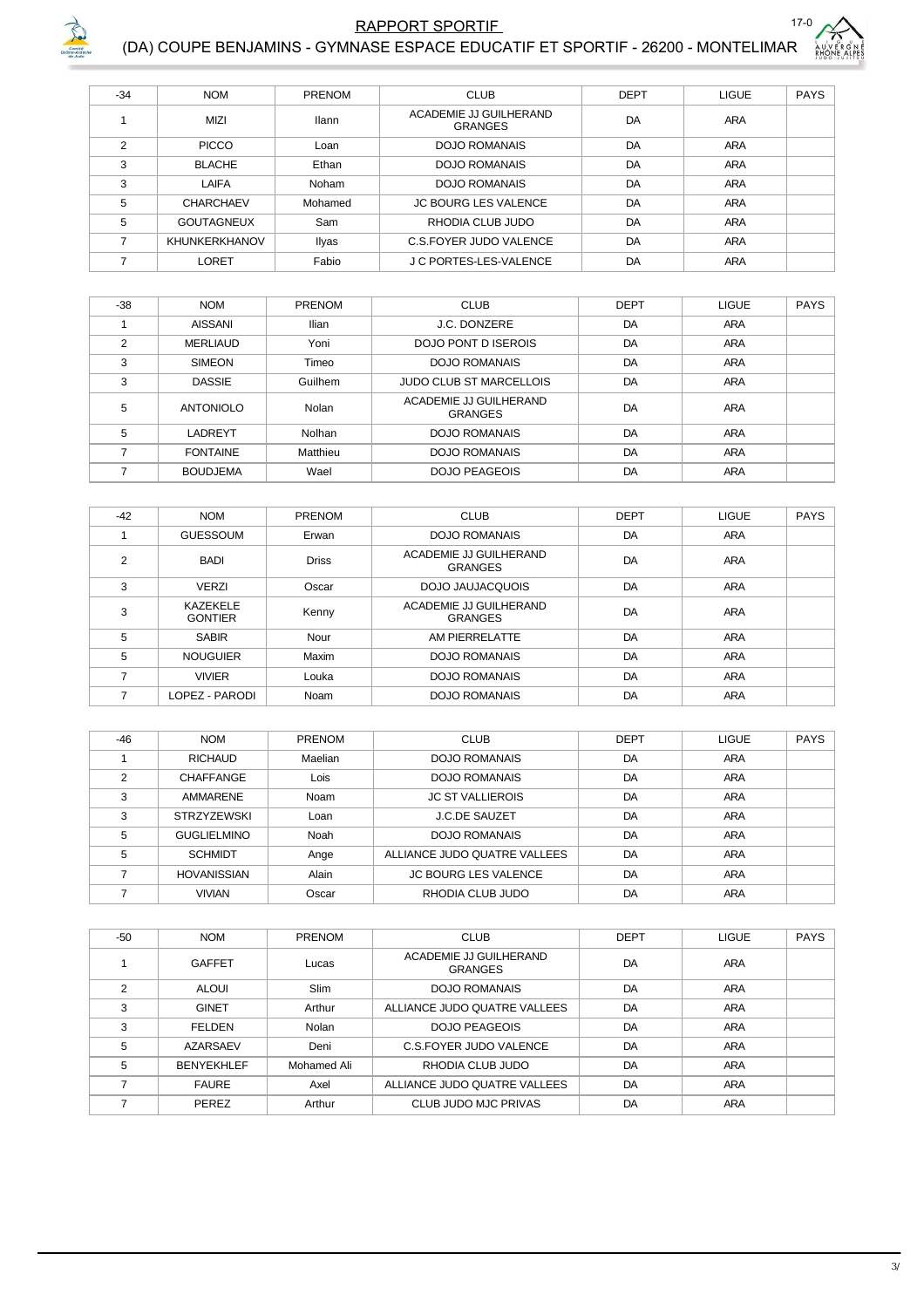

### $17-$ RAPPORT SPORTIF (DA) COUPE BENJAMINS - GYMNASE ESPACE EDUCATIF ET SPORTIF - 26200 - MONTELIMAR

| $\epsilon$ |                               |
|------------|-------------------------------|
|            | ER G<br>N E<br>PES<br>v,<br>Ĩ |
|            |                               |

| $-34$<br><b>NOM</b><br><b>CLUB</b><br><b>DEPT</b><br><b>LIGUE</b><br><b>PRENOM</b><br>ACADEMIE JJ GUILHERAND<br>DA<br><b>MIZI</b><br>ARA<br><b>Ilann</b><br><b>GRANGES</b><br>$\mathcal{P}$<br>DA<br>ARA<br><b>PICCO</b><br><b>DOJO ROMANAIS</b><br>Loan<br>DA<br>3<br>ARA<br><b>BLACHE</b><br>Ethan<br>DOJO ROMANAIS<br>3<br>DA<br><b>ARA</b><br>LAIFA<br>Noham<br><b>DOJO ROMANAIS</b><br>5<br><b>ARA</b><br>DA<br><b>JC BOURG LES VALENCE</b><br><b>CHARCHAEV</b><br>Mohamed |   |                   |     |                  |    |            |             |
|---------------------------------------------------------------------------------------------------------------------------------------------------------------------------------------------------------------------------------------------------------------------------------------------------------------------------------------------------------------------------------------------------------------------------------------------------------------------------------|---|-------------------|-----|------------------|----|------------|-------------|
|                                                                                                                                                                                                                                                                                                                                                                                                                                                                                 |   |                   |     |                  |    |            | <b>PAYS</b> |
|                                                                                                                                                                                                                                                                                                                                                                                                                                                                                 |   |                   |     |                  |    |            |             |
|                                                                                                                                                                                                                                                                                                                                                                                                                                                                                 |   |                   |     |                  |    |            |             |
|                                                                                                                                                                                                                                                                                                                                                                                                                                                                                 |   |                   |     |                  |    |            |             |
|                                                                                                                                                                                                                                                                                                                                                                                                                                                                                 |   |                   |     |                  |    |            |             |
|                                                                                                                                                                                                                                                                                                                                                                                                                                                                                 |   |                   |     |                  |    |            |             |
|                                                                                                                                                                                                                                                                                                                                                                                                                                                                                 | 5 | <b>GOUTAGNEUX</b> | Sam | RHODIA CLUB JUDO | DA | <b>ARA</b> |             |
| DA<br>ARA<br><b>KHUNKERKHANOV</b><br>C.S.FOYER JUDO VALENCE<br>Ilyas                                                                                                                                                                                                                                                                                                                                                                                                            |   |                   |     |                  |    |            |             |
| Fabio<br>J C PORTES-LES-VALENCE<br>DA<br><b>LORET</b><br><b>ARA</b>                                                                                                                                                                                                                                                                                                                                                                                                             |   |                   |     |                  |    |            |             |

| $-38$          | <b>NOM</b>       | PRENOM   | <b>CLUB</b>                       | <b>DEPT</b> | <b>LIGUE</b> | <b>PAYS</b> |
|----------------|------------------|----------|-----------------------------------|-------------|--------------|-------------|
|                | <b>AISSANI</b>   | Ilian    | J.C. DONZERE                      | DA          | <b>ARA</b>   |             |
| $\mathfrak{p}$ | <b>MERLIAUD</b>  | Yoni     | <b>DOJO PONT D ISEROIS</b>        | DA          | <b>ARA</b>   |             |
| 3              | <b>SIMEON</b>    | Timeo    | <b>DOJO ROMANAIS</b>              | DA          | <b>ARA</b>   |             |
| 3              | <b>DASSIE</b>    | Guilhem  | <b>JUDO CLUB ST MARCELLOIS</b>    | DA          | <b>ARA</b>   |             |
| 5              | <b>ANTONIOLO</b> | Nolan    | ACADEMIE JJ GUILHERAND<br>GRANGES | DA          | <b>ARA</b>   |             |
| 5              | LADREYT          | Nolhan   | DOJO ROMANAIS                     | DA          | <b>ARA</b>   |             |
|                | <b>FONTAINE</b>  | Matthieu | DOJO ROMANAIS                     | DA          | <b>ARA</b>   |             |
|                | <b>BOUDJEMA</b>  | Wael     | <b>DOJO PEAGEOIS</b>              | DA          | <b>ARA</b>   |             |

| $-42$ | <b>NOM</b>                        | PRENOM       | <b>CLUB</b>                              | <b>DEPT</b> | LIGUE      | <b>PAYS</b> |
|-------|-----------------------------------|--------------|------------------------------------------|-------------|------------|-------------|
|       | <b>GUESSOUM</b>                   | Erwan        | DOJO ROMANAIS                            | DA          | <b>ARA</b> |             |
| 2     | <b>BADI</b>                       | <b>Driss</b> | ACADEMIE JJ GUILHERAND<br><b>GRANGES</b> | DA          | ARA        |             |
| 3     | <b>VERZI</b>                      | Oscar        | DOJO JAUJACQUOIS                         | DA          | <b>ARA</b> |             |
| 3     | <b>KAZEKELE</b><br><b>GONTIER</b> | Kenny        | ACADEMIE JJ GUILHERAND<br><b>GRANGES</b> | DA          | ARA        |             |
| 5     | <b>SABIR</b>                      | Nour         | AM PIERRELATTE                           | DA          | <b>ARA</b> |             |
| 5     | <b>NOUGUIER</b>                   | Maxim        | <b>DOJO ROMANAIS</b>                     | DA          | <b>ARA</b> |             |
|       | <b>VIVIER</b>                     | Louka        | <b>DOJO ROMANAIS</b>                     | DA          | <b>ARA</b> |             |
| 7     | LOPEZ - PARODI                    | Noam         | <b>DOJO ROMANAIS</b>                     | DA          | <b>ARA</b> |             |

| $-46$ | <b>NOM</b>         | <b>PRENOM</b> | <b>CLUB</b>                  | <b>DEPT</b> | <b>LIGUE</b> | <b>PAYS</b> |
|-------|--------------------|---------------|------------------------------|-------------|--------------|-------------|
|       | <b>RICHAUD</b>     | Maelian       | <b>DOJO ROMANAIS</b>         | DA          | <b>ARA</b>   |             |
| C     | <b>CHAFFANGE</b>   | Lois          | DOJO ROMANAIS                | DA          | ARA          |             |
| 3     | AMMARENE           | Noam          | <b>JC ST VALLIEROIS</b>      | DA          | ARA          |             |
| 3     | <b>STRZYZEWSKI</b> | Loan          | <b>J.C.DE SAUZET</b>         | DA          | <b>ARA</b>   |             |
| 5     | <b>GUGLIELMINO</b> | Noah          | <b>DOJO ROMANAIS</b>         | DA          | <b>ARA</b>   |             |
| 5     | <b>SCHMIDT</b>     | Ange          | ALLIANCE JUDO QUATRE VALLEES | DA          | <b>ARA</b>   |             |
| ⇁     | <b>HOVANISSIAN</b> | Alain         | <b>JC BOURG LES VALENCE</b>  | DA          | <b>ARA</b>   |             |
|       | <b>VIVIAN</b>      | Oscar         | RHODIA CLUB JUDO             | DA          | <b>ARA</b>   |             |

| $-50$ | <b>NOM</b>        | <b>PRENOM</b> | <b>CLUB</b>                              | <b>DEPT</b> | <b>LIGUE</b> | <b>PAYS</b> |
|-------|-------------------|---------------|------------------------------------------|-------------|--------------|-------------|
|       | <b>GAFFET</b>     | Lucas         | ACADEMIE JJ GUILHERAND<br><b>GRANGES</b> | DA          | <b>ARA</b>   |             |
| 2     | <b>ALOUI</b>      | Slim          | <b>DOJO ROMANAIS</b>                     | DA          | ARA          |             |
| 3     | <b>GINET</b>      | Arthur        | ALLIANCE JUDO QUATRE VALLEES             | DA          | <b>ARA</b>   |             |
| 3     | <b>FELDEN</b>     | Nolan         | <b>DOJO PEAGEOIS</b>                     | DA          | <b>ARA</b>   |             |
| 5     | AZARSAEV          | Deni          | C.S. FOYER JUDO VALENCE                  | DA          | <b>ARA</b>   |             |
| 5     | <b>BENYEKHLEF</b> | Mohamed Ali   | RHODIA CLUB JUDO                         | DA          | <b>ARA</b>   |             |
|       | <b>FAURE</b>      | Axel          | ALLIANCE JUDO QUATRE VALLEES             | DA          | <b>ARA</b>   |             |
|       | PEREZ             | Arthur        | CLUB JUDO MJC PRIVAS                     | DA          | <b>ARA</b>   |             |